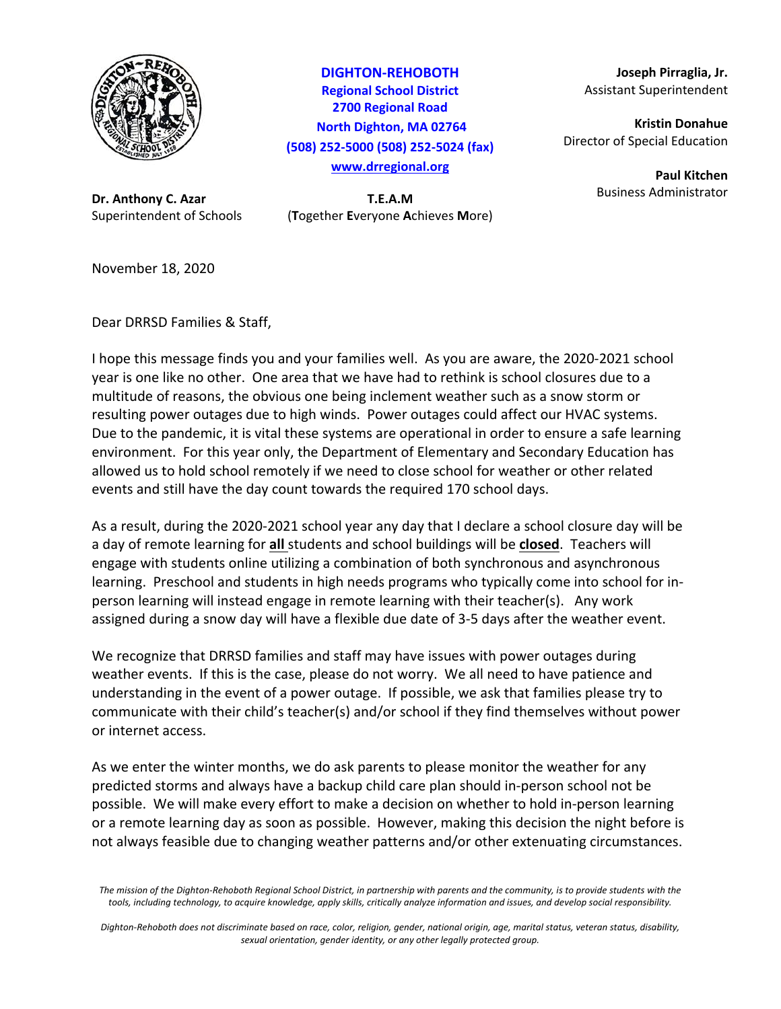

**Dr. Anthony C. Azar T.E.A.M**

**DIGHTON‐REHOBOTH Regional School District 2700 Regional Road North Dighton, MA 02764 (508) 252‐5000 (508) 252‐5024 (fax) www.drregional.org**

Superintendent of Schools (**T**ogether **E**veryone **A**chieves **M**ore)

**Joseph Pirraglia, Jr.** Assistant Superintendent

**Kristin Donahue** Director of Special Education

> **Paul Kitchen** Business Administrator

November 18, 2020

Dear DRRSD Families & Staff,

I hope this message finds you and your families well. As you are aware, the 2020‐2021 school year is one like no other. One area that we have had to rethink is school closures due to a multitude of reasons, the obvious one being inclement weather such as a snow storm or resulting power outages due to high winds. Power outages could affect our HVAC systems. Due to the pandemic, it is vital these systems are operational in order to ensure a safe learning environment. For this year only, the Department of Elementary and Secondary Education has allowed us to hold school remotely if we need to close school for weather or other related events and still have the day count towards the required 170 school days.

As a result, during the 2020‐2021 school year any day that I declare a school closure day will be a day of remote learning for **all** students and school buildings will be **closed**. Teachers will engage with students online utilizing a combination of both synchronous and asynchronous learning. Preschool and students in high needs programs who typically come into school for in‐ person learning will instead engage in remote learning with their teacher(s). Any work assigned during a snow day will have a flexible due date of 3‐5 days after the weather event.

We recognize that DRRSD families and staff may have issues with power outages during weather events. If this is the case, please do not worry. We all need to have patience and understanding in the event of a power outage. If possible, we ask that families please try to communicate with their child's teacher(s) and/or school if they find themselves without power or internet access.

As we enter the winter months, we do ask parents to please monitor the weather for any predicted storms and always have a backup child care plan should in‐person school not be possible. We will make every effort to make a decision on whether to hold in‐person learning or a remote learning day as soon as possible. However, making this decision the night before is not always feasible due to changing weather patterns and/or other extenuating circumstances.

Dighton-Rehoboth does not discriminate based on race, color, religion, gender, national origin, age, marital status, veteran status, disability, *sexual orientation, gender identity, or any other legally protected group.*

The mission of the Dighton-Rehoboth Regional School District, in partnership with parents and the community, is to provide students with the tools, including technology, to acquire knowledge, apply skills, critically analyze information and issues, and develop social responsibility.